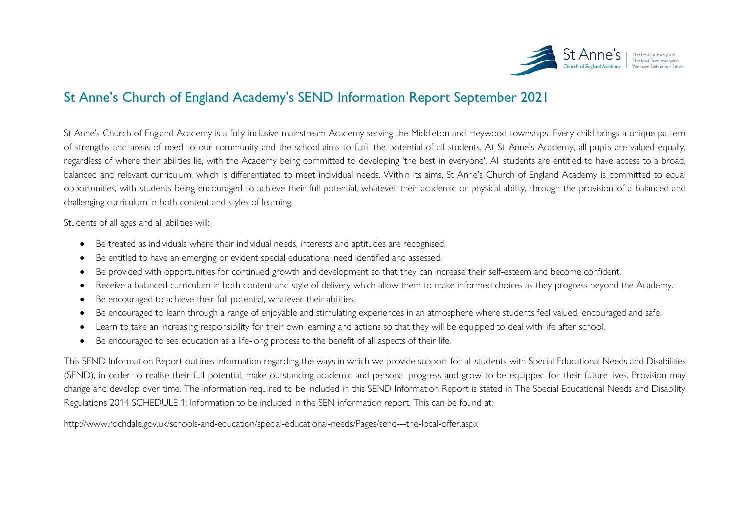

## St Anne's Church of England Academy's SEND Information Report September 2021

St Anne's Church of England Academy is a fully inclusive mainstream Academy serving the Middleton and Heywood townships. Every child brings a unique pattern of strengths and areas of need to our community and the school aims to fulfil the potential of all students. At St Anne's Academy, all pupils are valued equally, regardless of where their abilities lie, with the Academy being committed to developing 'the best in everyone'. All students are entitled to have access to a broad, balanced and relevant curriculum, which is differentiated to meet individual needs. Within its aims, St Anne's Church of England Academy is committed to equal opportunities, with students being encouraged to achieve their full potential, whatever their academic or physical ability, through the provision of a balanced and challenging curriculum in both content and styles of learning.

Students of all ages and all abilities will:

- Be treated as individuals where their individual needs, interests and aptitudes are recognised.
- Be entitled to have an emerging or evident special educational need identified and assessed.
- Be provided with opportunities for continued growth and development so that they can increase their self-esteem and become confident.
- Receive a balanced curriculum in both content and style of delivery which allow them to make informed choices as they progress beyond the Academy.
- Be encouraged to achieve their full potential, whatever their abilities.
- Be encouraged to learn through a range of enjoyable and stimulating experiences in an atmosphere where students feel valued, encouraged and safe.
- Learn to take an increasing responsibility for their own learning and actions so that they will be equipped to deal with life after school.
- Be encouraged to see education as a life-long process to the benefit of all aspects of their life.

This SEND Information Report outlines information regarding the ways in which we provide support for all students with Special Educational Needs and Disabilities (SEND), in order to realise their full potential, make outstanding academic and personal progress and grow to be equipped for their future lives. Provision may change and develop over time. The information required to be included in this SEND Information Report is stated in The Special Educational Needs and Disability Regulations 2014 SCHEDULE 1: Information to be included in the SEN information report. This can be found at:

<http://www.rochdale.gov.uk/schools-and-education/special-educational-needs/Pages/send---the-local-offer.aspx>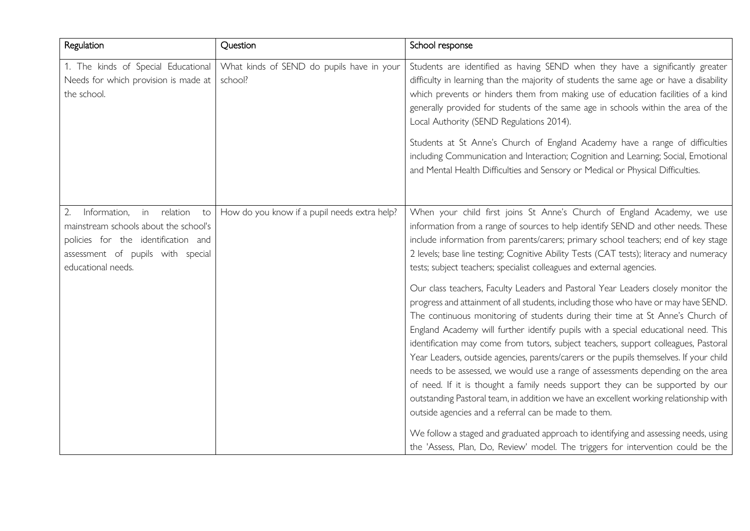| Regulation                                                                                                                                                                | Question                                             | School response                                                                                                                                                                                                                                                                                                                                                                                                                                                                                                                                                                                                                                                                                                                                                                                                                                        |
|---------------------------------------------------------------------------------------------------------------------------------------------------------------------------|------------------------------------------------------|--------------------------------------------------------------------------------------------------------------------------------------------------------------------------------------------------------------------------------------------------------------------------------------------------------------------------------------------------------------------------------------------------------------------------------------------------------------------------------------------------------------------------------------------------------------------------------------------------------------------------------------------------------------------------------------------------------------------------------------------------------------------------------------------------------------------------------------------------------|
| 1. The kinds of Special Educational<br>Needs for which provision is made at<br>the school.                                                                                | What kinds of SEND do pupils have in your<br>school? | Students are identified as having SEND when they have a significantly greater<br>difficulty in learning than the majority of students the same age or have a disability<br>which prevents or hinders them from making use of education facilities of a kind<br>generally provided for students of the same age in schools within the area of the<br>Local Authority (SEND Regulations 2014).                                                                                                                                                                                                                                                                                                                                                                                                                                                           |
|                                                                                                                                                                           |                                                      | Students at St Anne's Church of England Academy have a range of difficulties<br>including Communication and Interaction; Cognition and Learning; Social, Emotional<br>and Mental Health Difficulties and Sensory or Medical or Physical Difficulties.                                                                                                                                                                                                                                                                                                                                                                                                                                                                                                                                                                                                  |
| in relation to<br>Information,<br>mainstream schools about the school's<br>policies for the identification and<br>assessment of pupils with special<br>educational needs. | How do you know if a pupil needs extra help?         | When your child first joins St Anne's Church of England Academy, we use<br>information from a range of sources to help identify SEND and other needs. These<br>include information from parents/carers; primary school teachers; end of key stage<br>2 levels; base line testing; Cognitive Ability Tests (CAT tests); literacy and numeracy<br>tests; subject teachers; specialist colleagues and external agencies.                                                                                                                                                                                                                                                                                                                                                                                                                                  |
|                                                                                                                                                                           |                                                      | Our class teachers, Faculty Leaders and Pastoral Year Leaders closely monitor the<br>progress and attainment of all students, including those who have or may have SEND.<br>The continuous monitoring of students during their time at St Anne's Church of<br>England Academy will further identify pupils with a special educational need. This<br>identification may come from tutors, subject teachers, support colleagues, Pastoral<br>Year Leaders, outside agencies, parents/carers or the pupils themselves. If your child<br>needs to be assessed, we would use a range of assessments depending on the area<br>of need. If it is thought a family needs support they can be supported by our<br>outstanding Pastoral team, in addition we have an excellent working relationship with<br>outside agencies and a referral can be made to them. |
|                                                                                                                                                                           |                                                      | We follow a staged and graduated approach to identifying and assessing needs, using<br>the 'Assess, Plan, Do, Review' model. The triggers for intervention could be the                                                                                                                                                                                                                                                                                                                                                                                                                                                                                                                                                                                                                                                                                |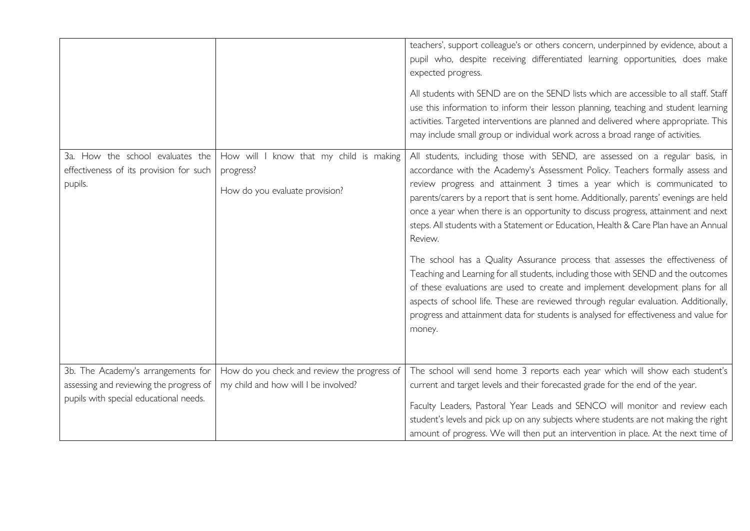|                                                                                        |                                                                                        | teachers', support colleague's or others concern, underpinned by evidence, about a<br>pupil who, despite receiving differentiated learning opportunities, does make<br>expected progress.                                                                                                                                                                                                                                                                                                                                                                                                                  |
|----------------------------------------------------------------------------------------|----------------------------------------------------------------------------------------|------------------------------------------------------------------------------------------------------------------------------------------------------------------------------------------------------------------------------------------------------------------------------------------------------------------------------------------------------------------------------------------------------------------------------------------------------------------------------------------------------------------------------------------------------------------------------------------------------------|
|                                                                                        |                                                                                        | All students with SEND are on the SEND lists which are accessible to all staff. Staff<br>use this information to inform their lesson planning, teaching and student learning<br>activities. Targeted interventions are planned and delivered where appropriate. This<br>may include small group or individual work across a broad range of activities.                                                                                                                                                                                                                                                     |
| 3a. How the school evaluates the<br>effectiveness of its provision for such<br>pupils. | How will I know that my child is making<br>progress?<br>How do you evaluate provision? | All students, including those with SEND, are assessed on a regular basis, in<br>accordance with the Academy's Assessment Policy. Teachers formally assess and<br>review progress and attainment 3 times a year which is communicated to<br>parents/carers by a report that is sent home. Additionally, parents' evenings are held<br>once a year when there is an opportunity to discuss progress, attainment and next<br>steps. All students with a Statement or Education, Health & Care Plan have an Annual<br>Review.<br>The school has a Quality Assurance process that assesses the effectiveness of |
|                                                                                        |                                                                                        | Teaching and Learning for all students, including those with SEND and the outcomes<br>of these evaluations are used to create and implement development plans for all<br>aspects of school life. These are reviewed through regular evaluation. Additionally,<br>progress and attainment data for students is analysed for effectiveness and value for<br>money.                                                                                                                                                                                                                                           |
| 3b. The Academy's arrangements for<br>assessing and reviewing the progress of          | How do you check and review the progress of<br>my child and how will I be involved?    | The school will send home 3 reports each year which will show each student's<br>current and target levels and their forecasted grade for the end of the year.                                                                                                                                                                                                                                                                                                                                                                                                                                              |
| pupils with special educational needs.                                                 |                                                                                        | Faculty Leaders, Pastoral Year Leads and SENCO will monitor and review each<br>student's levels and pick up on any subjects where students are not making the right<br>amount of progress. We will then put an intervention in place. At the next time of                                                                                                                                                                                                                                                                                                                                                  |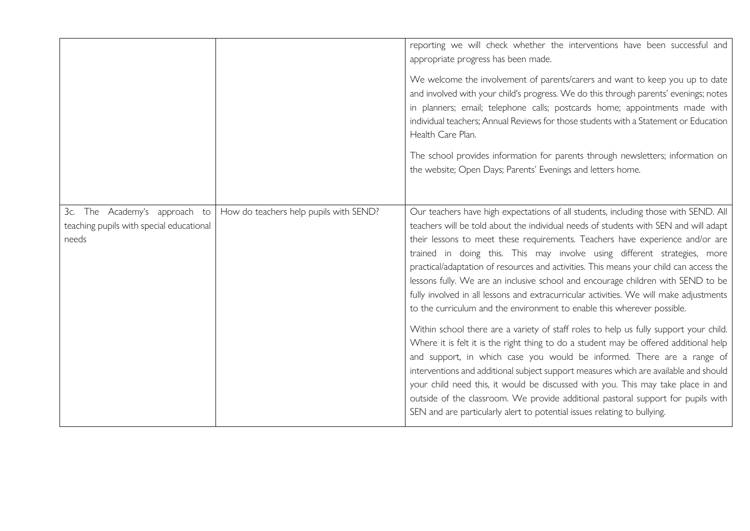|                                                                                    |                                        | reporting we will check whether the interventions have been successful and<br>appropriate progress has been made.<br>We welcome the involvement of parents/carers and want to keep you up to date<br>and involved with your child's progress. We do this through parents' evenings; notes<br>in planners; email; telephone calls; postcards home; appointments made with<br>individual teachers; Annual Reviews for those students with a Statement or Education<br>Health Care Plan.<br>The school provides information for parents through newsletters; information on<br>the website; Open Days; Parents' Evenings and letters home.                                                                                                                                                                                                                                                                                                                                                                                                                                                                                                                                                                                                                                                             |
|------------------------------------------------------------------------------------|----------------------------------------|-----------------------------------------------------------------------------------------------------------------------------------------------------------------------------------------------------------------------------------------------------------------------------------------------------------------------------------------------------------------------------------------------------------------------------------------------------------------------------------------------------------------------------------------------------------------------------------------------------------------------------------------------------------------------------------------------------------------------------------------------------------------------------------------------------------------------------------------------------------------------------------------------------------------------------------------------------------------------------------------------------------------------------------------------------------------------------------------------------------------------------------------------------------------------------------------------------------------------------------------------------------------------------------------------------|
| 3c. The Academy's approach to<br>teaching pupils with special educational<br>needs | How do teachers help pupils with SEND? | Our teachers have high expectations of all students, including those with SEND. All<br>teachers will be told about the individual needs of students with SEN and will adapt<br>their lessons to meet these requirements. Teachers have experience and/or are<br>trained in doing this. This may involve using different strategies, more<br>practical/adaptation of resources and activities. This means your child can access the<br>lessons fully. We are an inclusive school and encourage children with SEND to be<br>fully involved in all lessons and extracurricular activities. We will make adjustments<br>to the curriculum and the environment to enable this wherever possible.<br>Within school there are a variety of staff roles to help us fully support your child.<br>Where it is felt it is the right thing to do a student may be offered additional help<br>and support, in which case you would be informed. There are a range of<br>interventions and additional subject support measures which are available and should<br>your child need this, it would be discussed with you. This may take place in and<br>outside of the classroom. We provide additional pastoral support for pupils with<br>SEN and are particularly alert to potential issues relating to bullying. |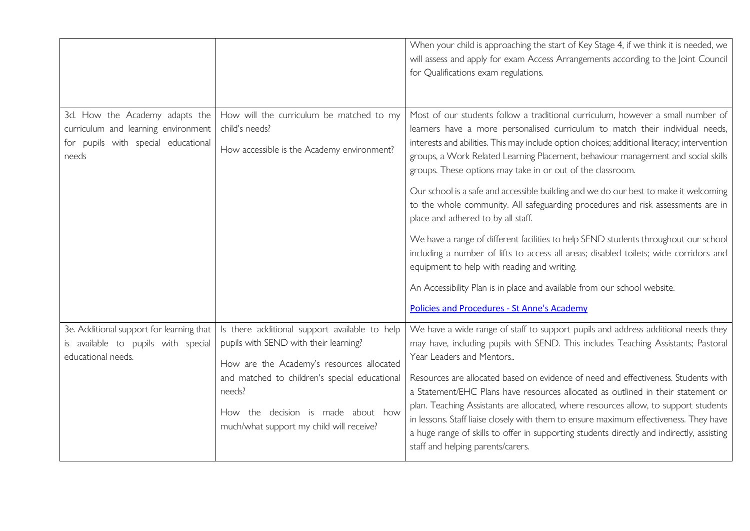|                                                                                                                       |                                                                                                                                                                                                                                                                                  | When your child is approaching the start of Key Stage 4, if we think it is needed, we<br>will assess and apply for exam Access Arrangements according to the Joint Council<br>for Qualifications exam regulations.                                                                                                                                                                                                                                                                                                                                                                                                                                                                                                                                                                                                                                                                                                                                                                            |
|-----------------------------------------------------------------------------------------------------------------------|----------------------------------------------------------------------------------------------------------------------------------------------------------------------------------------------------------------------------------------------------------------------------------|-----------------------------------------------------------------------------------------------------------------------------------------------------------------------------------------------------------------------------------------------------------------------------------------------------------------------------------------------------------------------------------------------------------------------------------------------------------------------------------------------------------------------------------------------------------------------------------------------------------------------------------------------------------------------------------------------------------------------------------------------------------------------------------------------------------------------------------------------------------------------------------------------------------------------------------------------------------------------------------------------|
| 3d. How the Academy adapts the<br>curriculum and learning environment<br>for pupils with special educational<br>needs | How will the curriculum be matched to my<br>child's needs?<br>How accessible is the Academy environment?                                                                                                                                                                         | Most of our students follow a traditional curriculum, however a small number of<br>learners have a more personalised curriculum to match their individual needs,<br>interests and abilities. This may include option choices; additional literacy; intervention<br>groups, a Work Related Learning Placement, behaviour management and social skills<br>groups. These options may take in or out of the classroom.<br>Our school is a safe and accessible building and we do our best to make it welcoming<br>to the whole community. All safeguarding procedures and risk assessments are in<br>place and adhered to by all staff.<br>We have a range of different facilities to help SEND students throughout our school<br>including a number of lifts to access all areas; disabled toilets; wide corridors and<br>equipment to help with reading and writing.<br>An Accessibility Plan is in place and available from our school website.<br>Policies and Procedures - St Anne's Academy |
| 3e. Additional support for learning that<br>is available to pupils with special<br>educational needs.                 | Is there additional support available to help<br>pupils with SEND with their learning?<br>How are the Academy's resources allocated<br>and matched to children's special educational<br>needs?<br>How the decision is made about how<br>much/what support my child will receive? | We have a wide range of staff to support pupils and address additional needs they<br>may have, including pupils with SEND. This includes Teaching Assistants; Pastoral<br>Year Leaders and Mentors<br>Resources are allocated based on evidence of need and effectiveness. Students with<br>a Statement/EHC Plans have resources allocated as outlined in their statement or<br>plan. Teaching Assistants are allocated, where resources allow, to support students<br>in lessons. Staff liaise closely with them to ensure maximum effectiveness. They have<br>a huge range of skills to offer in supporting students directly and indirectly, assisting<br>staff and helping parents/carers.                                                                                                                                                                                                                                                                                                |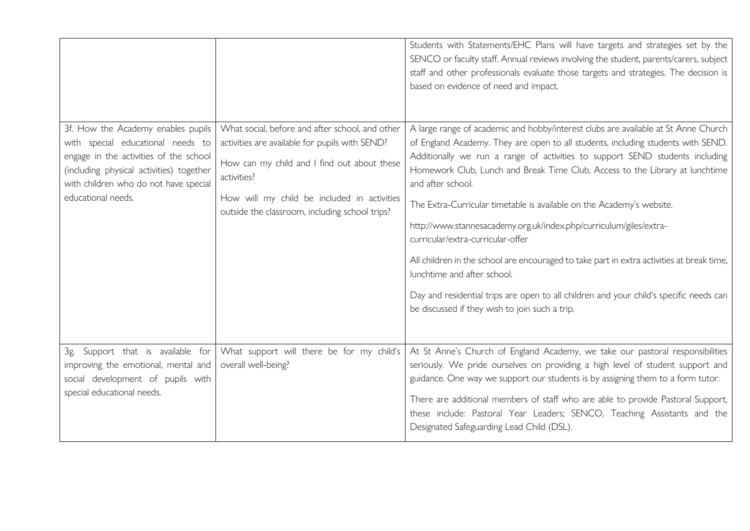|                                                                                                                                                                                                                              |                                                                                                                                                                                                                                                                  | Students with Statements/EHC Plans will have targets and strategies set by the<br>SENCO or faculty staff. Annual reviews involving the student, parents/carers, subject<br>staff and other professionals evaluate those targets and strategies. The decision is<br>based on evidence of need and impact.                                                                                                                                                                                                                                                                                                                                                                                                                                                                                                                |
|------------------------------------------------------------------------------------------------------------------------------------------------------------------------------------------------------------------------------|------------------------------------------------------------------------------------------------------------------------------------------------------------------------------------------------------------------------------------------------------------------|-------------------------------------------------------------------------------------------------------------------------------------------------------------------------------------------------------------------------------------------------------------------------------------------------------------------------------------------------------------------------------------------------------------------------------------------------------------------------------------------------------------------------------------------------------------------------------------------------------------------------------------------------------------------------------------------------------------------------------------------------------------------------------------------------------------------------|
| 3f. How the Academy enables pupils<br>with special educational needs to<br>engage in the activities of the school<br>(including physical activities) together<br>with children who do not have special<br>educational needs. | What social, before and after school, and other<br>activities are available for pupils with SEND?<br>How can my child and I find out about these<br>activities?<br>How will my child be included in activities<br>outside the classroom, including school trips? | A large range of academic and hobby/interest clubs are available at St Anne Church<br>of England Academy. They are open to all students, including students with SEND.<br>Additionally we run a range of activities to support SEND students including<br>Homework Club, Lunch and Break Time Club, Access to the Library at lunchtime<br>and after school.<br>The Extra-Curricular timetable is available on the Academy's website.<br>http://www.stannesacademy.org.uk/index.php/curriculum/giles/extra-<br>curricular/extra-curricular-offer<br>All children in the school are encouraged to take part in extra activities at break time,<br>lunchtime and after school.<br>Day and residential trips are open to all children and your child's specific needs can<br>be discussed if they wish to join such a trip. |
| Support that is available for<br>3g.<br>improving the emotional, mental and<br>social development of pupils with<br>special educational needs.                                                                               | What support will there be for my child's<br>overall well-being?                                                                                                                                                                                                 | At St Anne's Church of England Academy, we take our pastoral responsibilities<br>seriously. We pride ourselves on providing a high level of student support and<br>guidance. One way we support our students is by assigning them to a form tutor.<br>There are additional members of staff who are able to provide Pastoral Support,<br>these include: Pastoral Year Leaders; SENCO, Teaching Assistants and the<br>Designated Safeguarding Lead Child (DSL).                                                                                                                                                                                                                                                                                                                                                          |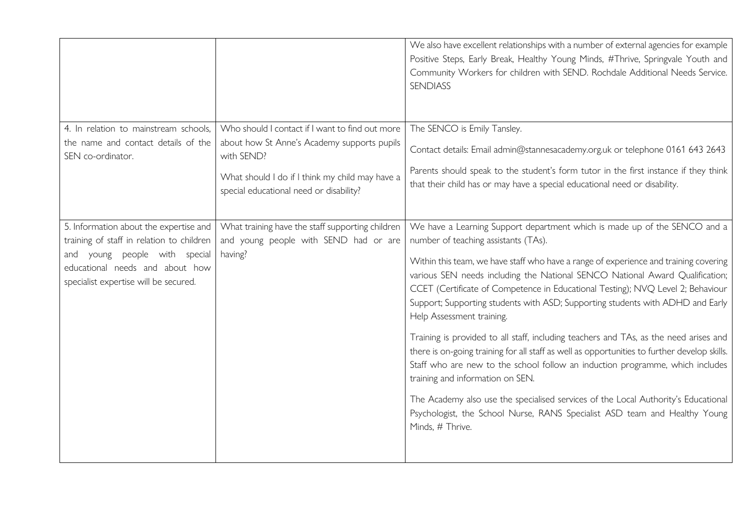|                                                                                                                                                                                                     |                                                                                                                                                                                                            | We also have excellent relationships with a number of external agencies for example<br>Positive Steps, Early Break, Healthy Young Minds, #Thrive, Springvale Youth and<br>Community Workers for children with SEND. Rochdale Additional Needs Service.<br><b>SENDIASS</b>                                                                                                                                                                                                                                                                                                                                                                                                                                                                                                                                                                                                                                                                                                                         |
|-----------------------------------------------------------------------------------------------------------------------------------------------------------------------------------------------------|------------------------------------------------------------------------------------------------------------------------------------------------------------------------------------------------------------|---------------------------------------------------------------------------------------------------------------------------------------------------------------------------------------------------------------------------------------------------------------------------------------------------------------------------------------------------------------------------------------------------------------------------------------------------------------------------------------------------------------------------------------------------------------------------------------------------------------------------------------------------------------------------------------------------------------------------------------------------------------------------------------------------------------------------------------------------------------------------------------------------------------------------------------------------------------------------------------------------|
| 4. In relation to mainstream schools,<br>the name and contact details of the<br>SEN co-ordinator.                                                                                                   | Who should I contact if I want to find out more<br>about how St Anne's Academy supports pupils<br>with SEND?<br>What should I do if I think my child may have a<br>special educational need or disability? | The SENCO is Emily Tansley.<br>Contact details: Email admin@stannesacademy.org.uk or telephone 0161 643 2643<br>Parents should speak to the student's form tutor in the first instance if they think<br>that their child has or may have a special educational need or disability.                                                                                                                                                                                                                                                                                                                                                                                                                                                                                                                                                                                                                                                                                                                |
| 5. Information about the expertise and<br>training of staff in relation to children<br>young people with special<br>and<br>educational needs and about how<br>specialist expertise will be secured. | What training have the staff supporting children<br>and young people with SEND had or are<br>having?                                                                                                       | We have a Learning Support department which is made up of the SENCO and a<br>number of teaching assistants (TAs).<br>Within this team, we have staff who have a range of experience and training covering<br>various SEN needs including the National SENCO National Award Qualification;<br>CCET (Certificate of Competence in Educational Testing); NVQ Level 2; Behaviour<br>Support; Supporting students with ASD; Supporting students with ADHD and Early<br>Help Assessment training.<br>Training is provided to all staff, including teachers and TAs, as the need arises and<br>there is on-going training for all staff as well as opportunities to further develop skills.<br>Staff who are new to the school follow an induction programme, which includes<br>training and information on SEN.<br>The Academy also use the specialised services of the Local Authority's Educational<br>Psychologist, the School Nurse, RANS Specialist ASD team and Healthy Young<br>Minds, # Thrive. |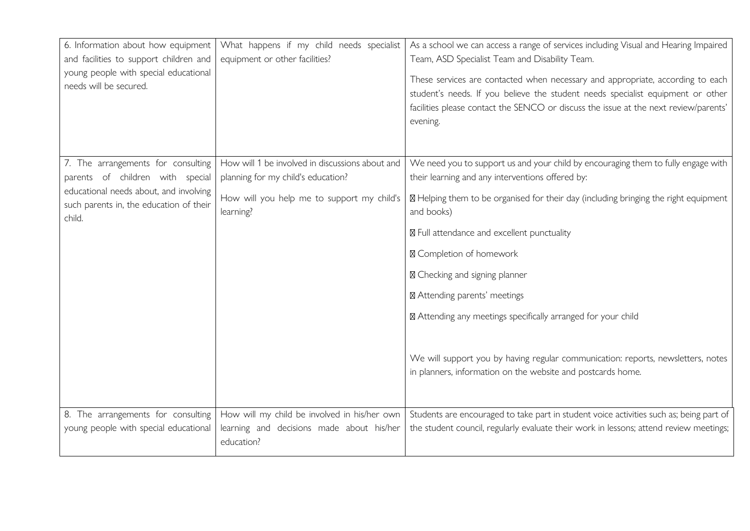| 6. Information about how equipment<br>and facilities to support children and<br>young people with special educational<br>needs will be secured.                       | What happens if my child needs specialist<br>equipment or other facilities?                                                                      | As a school we can access a range of services including Visual and Hearing Impaired<br>Team, ASD Specialist Team and Disability Team.<br>These services are contacted when necessary and appropriate, according to each<br>student's needs. If you believe the student needs specialist equipment or other<br>facilities please contact the SENCO or discuss the issue at the next review/parents'<br>evening.                                                                                                                                                                                                |
|-----------------------------------------------------------------------------------------------------------------------------------------------------------------------|--------------------------------------------------------------------------------------------------------------------------------------------------|---------------------------------------------------------------------------------------------------------------------------------------------------------------------------------------------------------------------------------------------------------------------------------------------------------------------------------------------------------------------------------------------------------------------------------------------------------------------------------------------------------------------------------------------------------------------------------------------------------------|
| 7. The arrangements for consulting<br>parents of children with special<br>educational needs about, and involving<br>such parents in, the education of their<br>child. | How will 1 be involved in discussions about and<br>planning for my child's education?<br>How will you help me to support my child's<br>learning? | We need you to support us and your child by encouraging them to fully engage with<br>their learning and any interventions offered by:<br>⊠ Helping them to be organised for their day (including bringing the right equipment<br>and books)<br>⊠ Full attendance and excellent punctuality<br>⊠ Completion of homework<br>⊠ Checking and signing planner<br>⊠ Attending parents' meetings<br>⊠ Attending any meetings specifically arranged for your child<br>We will support you by having regular communication: reports, newsletters, notes<br>in planners, information on the website and postcards home. |
| 8. The arrangements for consulting<br>young people with special educational                                                                                           | How will my child be involved in his/her own<br>learning and decisions made about his/her<br>education?                                          | Students are encouraged to take part in student voice activities such as; being part of<br>the student council, regularly evaluate their work in lessons; attend review meetings;                                                                                                                                                                                                                                                                                                                                                                                                                             |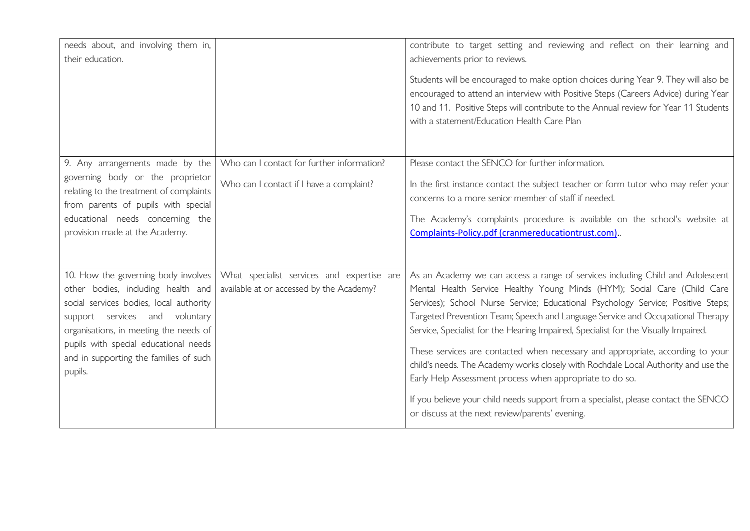| needs about, and involving them in,<br>their education.                                                                                                                                                                                                                                        |                                                                                        | contribute to target setting and reviewing and reflect on their learning and<br>achievements prior to reviews.<br>Students will be encouraged to make option choices during Year 9. They will also be<br>encouraged to attend an interview with Positive Steps (Careers Advice) during Year<br>10 and 11. Positive Steps will contribute to the Annual review for Year 11 Students<br>with a statement/Education Health Care Plan                                                                                                                                                                                                                                                                                                                                                                     |
|------------------------------------------------------------------------------------------------------------------------------------------------------------------------------------------------------------------------------------------------------------------------------------------------|----------------------------------------------------------------------------------------|-------------------------------------------------------------------------------------------------------------------------------------------------------------------------------------------------------------------------------------------------------------------------------------------------------------------------------------------------------------------------------------------------------------------------------------------------------------------------------------------------------------------------------------------------------------------------------------------------------------------------------------------------------------------------------------------------------------------------------------------------------------------------------------------------------|
| 9. Any arrangements made by the<br>governing body or the proprietor<br>relating to the treatment of complaints<br>from parents of pupils with special<br>educational needs concerning the<br>provision made at the Academy.                                                                    | Who can I contact for further information?<br>Who can I contact if I have a complaint? | Please contact the SENCO for further information.<br>In the first instance contact the subject teacher or form tutor who may refer your<br>concerns to a more senior member of staff if needed.<br>The Academy's complaints procedure is available on the school's website at<br>Complaints-Policy.pdf (cranmereducationtrust.com)                                                                                                                                                                                                                                                                                                                                                                                                                                                                    |
| 10. How the governing body involves<br>other bodies, including health and<br>social services bodies, local authority<br>support services and voluntary<br>organisations, in meeting the needs of<br>pupils with special educational needs<br>and in supporting the families of such<br>pupils. | What specialist services and expertise are<br>available at or accessed by the Academy? | As an Academy we can access a range of services including Child and Adolescent<br>Mental Health Service Healthy Young Minds (HYM); Social Care (Child Care<br>Services); School Nurse Service; Educational Psychology Service; Positive Steps;<br>Targeted Prevention Team; Speech and Language Service and Occupational Therapy<br>Service, Specialist for the Hearing Impaired, Specialist for the Visually Impaired.<br>These services are contacted when necessary and appropriate, according to your<br>child's needs. The Academy works closely with Rochdale Local Authority and use the<br>Early Help Assessment process when appropriate to do so.<br>If you believe your child needs support from a specialist, please contact the SENCO<br>or discuss at the next review/parents' evening. |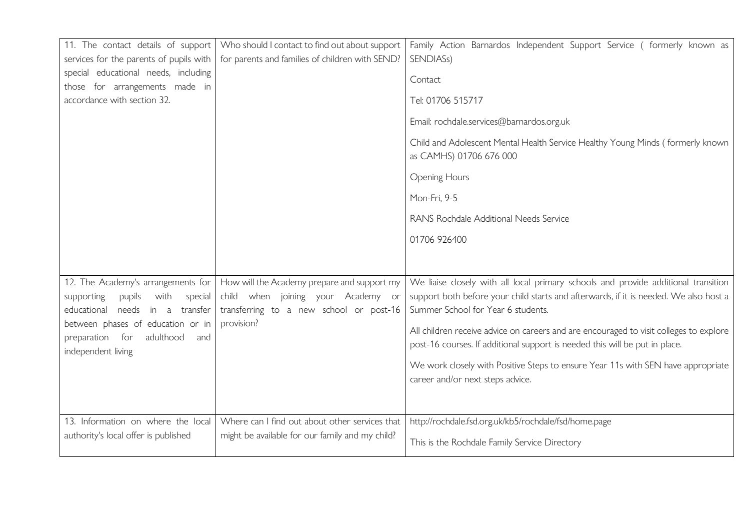| 11. The contact details of support<br>services for the parents of pupils with                                          | Who should I contact to find out about support<br>for parents and families of children with SEND?                            | Family Action Barnardos Independent Support Service ( formerly known as<br>SENDIASs)                                                                                                                              |
|------------------------------------------------------------------------------------------------------------------------|------------------------------------------------------------------------------------------------------------------------------|-------------------------------------------------------------------------------------------------------------------------------------------------------------------------------------------------------------------|
| special educational needs, including<br>those for arrangements made in                                                 |                                                                                                                              | Contact                                                                                                                                                                                                           |
| accordance with section 32.                                                                                            |                                                                                                                              | Tel: 01706 515717                                                                                                                                                                                                 |
|                                                                                                                        |                                                                                                                              | Email: rochdale.services@barnardos.org.uk                                                                                                                                                                         |
|                                                                                                                        |                                                                                                                              | Child and Adolescent Mental Health Service Healthy Young Minds (formerly known<br>as CAMHS) 01706 676 000                                                                                                         |
|                                                                                                                        |                                                                                                                              | <b>Opening Hours</b>                                                                                                                                                                                              |
|                                                                                                                        |                                                                                                                              | Mon-Fri, 9-5                                                                                                                                                                                                      |
|                                                                                                                        |                                                                                                                              | RANS Rochdale Additional Needs Service                                                                                                                                                                            |
|                                                                                                                        |                                                                                                                              | 01706 926400                                                                                                                                                                                                      |
|                                                                                                                        |                                                                                                                              |                                                                                                                                                                                                                   |
| 12. The Academy's arrangements for<br>with<br>supporting<br>pupils<br>special<br>educational<br>needs<br>in a transfer | How will the Academy prepare and support my<br>child when joining your Academy or<br>transferring to a new school or post-16 | We liaise closely with all local primary schools and provide additional transition<br>support both before your child starts and afterwards, if it is needed. We also host a<br>Summer School for Year 6 students. |
| between phases of education or in<br>preparation for<br>adulthood<br>and<br>independent living                         | provision?                                                                                                                   | All children receive advice on careers and are encouraged to visit colleges to explore<br>post-16 courses. If additional support is needed this will be put in place.                                             |
|                                                                                                                        |                                                                                                                              | We work closely with Positive Steps to ensure Year 11s with SEN have appropriate<br>career and/or next steps advice.                                                                                              |
| 13. Information on where the local                                                                                     | Where can I find out about other services that                                                                               | http://rochdale.fsd.org.uk/kb5/rochdale/fsd/home.page                                                                                                                                                             |
| authority's local offer is published                                                                                   | might be available for our family and my child?                                                                              | This is the Rochdale Family Service Directory                                                                                                                                                                     |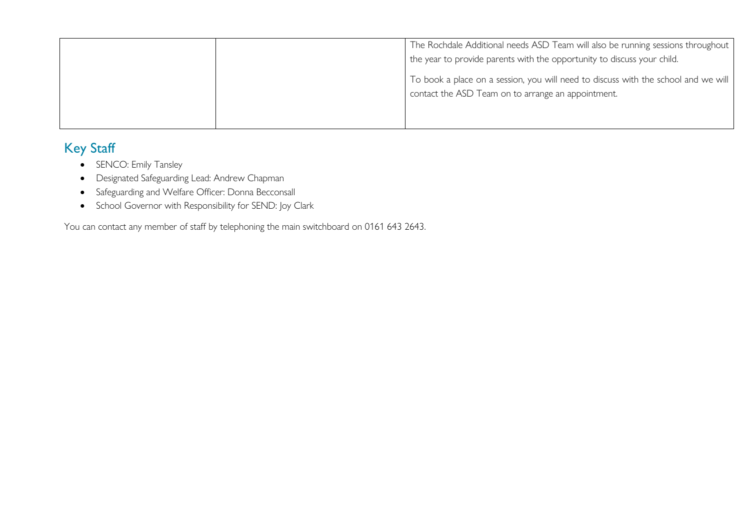|  | The Rochdale Additional needs ASD Team will also be running sessions throughout<br>the year to provide parents with the opportunity to discuss your child. |
|--|------------------------------------------------------------------------------------------------------------------------------------------------------------|
|  | To book a place on a session, you will need to discuss with the school and we will<br>contact the ASD Team on to arrange an appointment.                   |
|  |                                                                                                                                                            |

## Key Staff

- SENCO: Emily Tansley
- Designated Safeguarding Lead: Andrew Chapman
- Safeguarding and Welfare Officer: Donna Becconsall
- School Governor with Responsibility for SEND: Joy Clark

You can contact any member of staff by telephoning the main switchboard on 0161 643 2643.